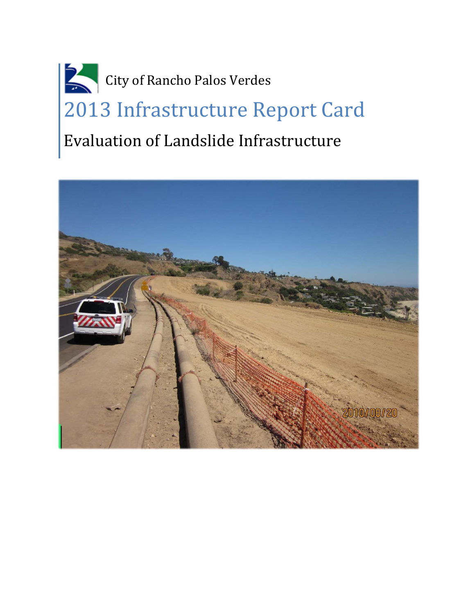# City of Rancho Palos Verdes 2013 Infrastructure Report Card Evaluation of Landslide Infrastructure

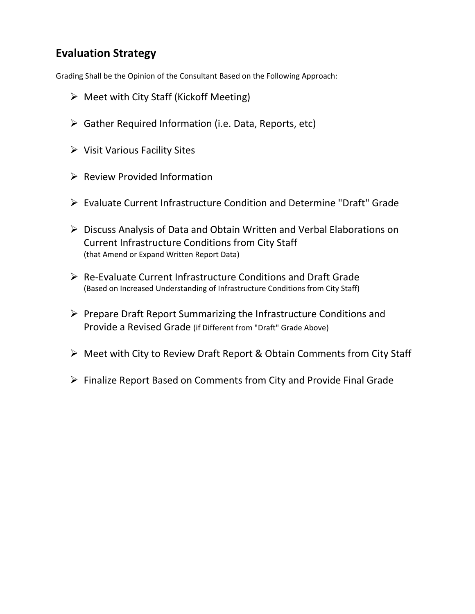# **Evaluation Strategy**

Grading Shall be the Opinion of the Consultant Based on the Following Approach:

- $\triangleright$  Meet with City Staff (Kickoff Meeting)
- $\triangleright$  Gather Required Information (i.e. Data, Reports, etc)
- $\triangleright$  Visit Various Facility Sites
- $\triangleright$  Review Provided Information
- Evaluate Current Infrastructure Condition and Determine "Draft" Grade
- Discuss Analysis of Data and Obtain Written and Verbal Elaborations on Current Infrastructure Conditions from City Staff (that Amend or Expand Written Report Data)
- Re-Evaluate Current Infrastructure Conditions and Draft Grade (Based on Increased Understanding of Infrastructure Conditions from City Staff)
- $\triangleright$  Prepare Draft Report Summarizing the Infrastructure Conditions and Provide a Revised Grade (if Different from "Draft" Grade Above)
- Meet with City to Review Draft Report & Obtain Comments from City Staff
- $\triangleright$  Finalize Report Based on Comments from City and Provide Final Grade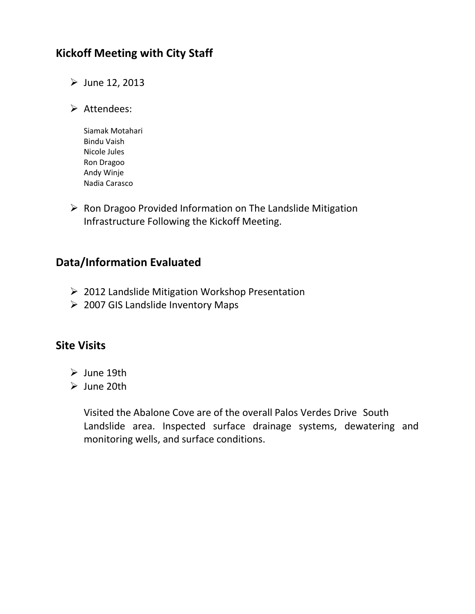# **Kickoff Meeting with City Staff**

- $\triangleright$  June 12, 2013
- $\triangleright$  Attendees:
	- Siamak Motahari Bindu Vaish Nicole Jules Ron Dragoo Andy Winje Nadia Carasco
- $\triangleright$  Ron Dragoo Provided Information on The Landslide Mitigation Infrastructure Following the Kickoff Meeting.

## **Data/Information Evaluated**

- ▶ 2012 Landslide Mitigation Workshop Presentation
- 2007 GIS Landslide Inventory Maps

## **Site Visits**

- $\triangleright$  June 19th
- $\triangleright$  June 20th

Visited the Abalone Cove are of the overall Palos Verdes Drive South Landslide area. Inspected surface drainage systems, dewatering and monitoring wells, and surface conditions.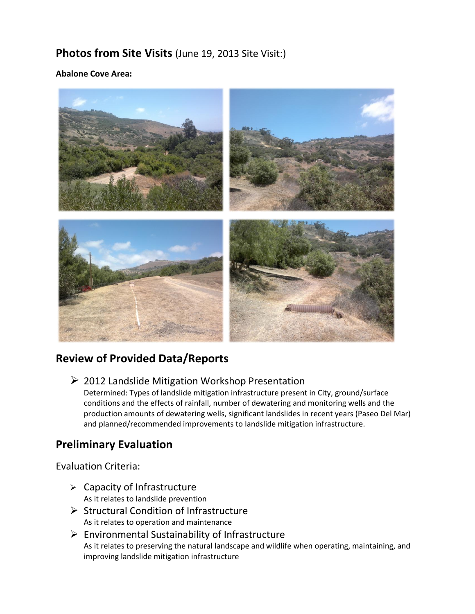# **Photos from Site Visits** (June 19, 2013 Site Visit:)

#### **Abalone Cove Area:**



## **Review of Provided Data/Reports**

 $\geq$  2012 Landslide Mitigation Workshop Presentation

Determined: Types of landslide mitigation infrastructure present in City, ground/surface conditions and the effects of rainfall, number of dewatering and monitoring wells and the production amounts of dewatering wells, significant landslides in recent years (Paseo Del Mar) and planned/recommended improvements to landslide mitigation infrastructure.

## **Preliminary Evaluation**

#### Evaluation Criteria:

- $\triangleright$  Capacity of Infrastructure As it relates to landslide prevention
- $\triangleright$  Structural Condition of Infrastructure As it relates to operation and maintenance
- $\triangleright$  Environmental Sustainability of Infrastructure As it relates to preserving the natural landscape and wildlife when operating, maintaining, and improving landslide mitigation infrastructure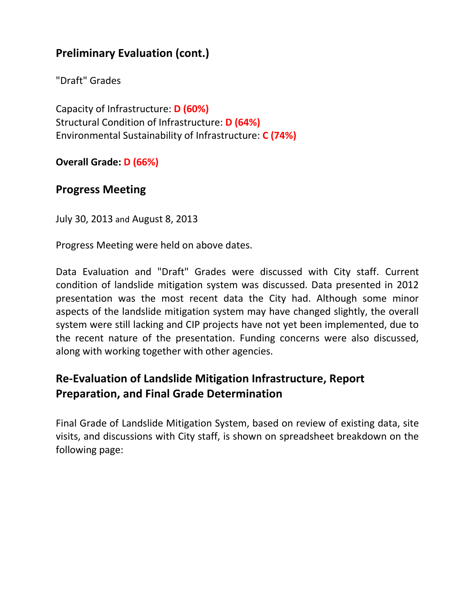# **Preliminary Evaluation (cont.)**

"Draft" Grades

Capacity of Infrastructure: **D (60%)** Structural Condition of Infrastructure: **D (64%)** Environmental Sustainability of Infrastructure: **C (74%)**

**Overall Grade: D (66%)**

## **Progress Meeting**

July 30, 2013 and August 8, 2013

Progress Meeting were held on above dates.

Data Evaluation and "Draft" Grades were discussed with City staff. Current condition of landslide mitigation system was discussed. Data presented in 2012 presentation was the most recent data the City had. Although some minor aspects of the landslide mitigation system may have changed slightly, the overall system were still lacking and CIP projects have not yet been implemented, due to the recent nature of the presentation. Funding concerns were also discussed, along with working together with other agencies.

# **Re-Evaluation of Landslide Mitigation Infrastructure, Report Preparation, and Final Grade Determination**

Final Grade of Landslide Mitigation System, based on review of existing data, site visits, and discussions with City staff, is shown on spreadsheet breakdown on the following page: